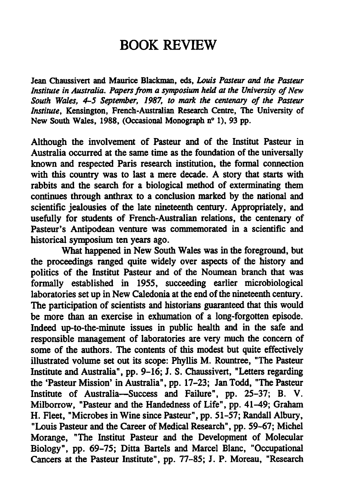## BOOK REVIEW

Jean Chaussivert and Maurice Blackman, eds, Louis Pasteur and the Pasteur Institute in Australia. Papers from a symposium held at the University of New South Wales, 4-5 September, 1987, to mark the centenary of the Pasteur Institute, Kensington, French-Australian Research Centre, The University of New South Wales, 1988, (Occasional Monograph n° 1), 93 pp.

Although the involvement of Pasteur and of the Institut Pasteur in Australia occurred at the same time as the foundation of the universally known and respected Paris research institution, the formal connection with this country was to last a mere decade. A story that starts with rabbits and the search for a biological method of exterminating them continues through anthrax to a conclusion marked by the national and scientific jealousies of the late nineteenth century. Appropriately, and usefully for students of French-Australian relations, die centenary of Pasteur's Antipodean venture was commemorated in a scientific and historical symposium ten years ago.

What happened in New South Wales was in the foreground, but the proceedings ranged quite widely over aspects of the history and politics of the Institut Pasteur and of the Noumean branch that was formally established in 19SS, succeeding earlier microbiological laboratories set up in New Caledonia at the end of the nineteenth century. The participation of scientists and historians guaranteed that this would be more than an exercise in exhumation of a long-forgotten episode. Indeed up-to-the-minute issues in public health and in the safe and responsible management of laboratories are very much the concern of some of the authors. The contents of this modest but quite effectively illustrated volume set out its scope: Phyllis M. Rountree, "The Pasteur Institute and Australia", pp. 9-16; J. S. Chaussivert, "Letters regarding the 'Pasteur Mission' in Australia", pp. 17-23; Jan Todd, "The Pasteur Institute of Australia—Success and Failure", pp. 25-37; B. V. Milborrow, "Pasteur and the Handedness of Life", pp. 41-49; Graham H. Fleet, "Microbes in Wine since Pasteur", pp. 51-57; Randall Albury, "Louis Pasteur and the Career of Medical Research", pp. 59-67; Michel Morange, "The Institut Pasteur and the Development of Molecular Biology", pp. 69-75; Ditta Bartels and Marcel Blanc, "Occupational Cancers at the Pasteur Institute", pp. 77-85; J. P. Moreau, "Research